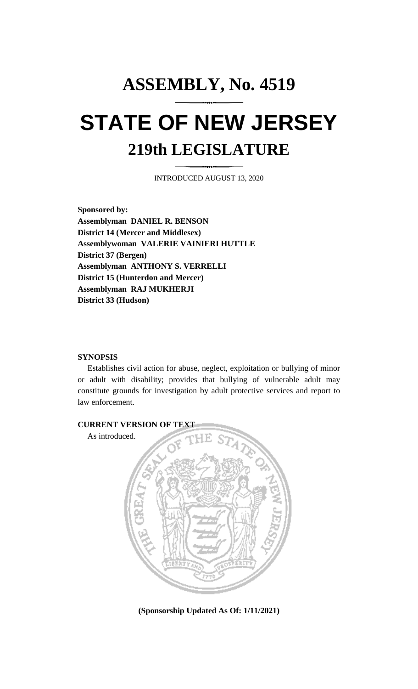# **ASSEMBLY, No. 4519 STATE OF NEW JERSEY 219th LEGISLATURE**

INTRODUCED AUGUST 13, 2020

**Sponsored by: Assemblyman DANIEL R. BENSON District 14 (Mercer and Middlesex) Assemblywoman VALERIE VAINIERI HUTTLE District 37 (Bergen) Assemblyman ANTHONY S. VERRELLI District 15 (Hunterdon and Mercer) Assemblyman RAJ MUKHERJI District 33 (Hudson)**

#### **SYNOPSIS**

Establishes civil action for abuse, neglect, exploitation or bullying of minor or adult with disability; provides that bullying of vulnerable adult may constitute grounds for investigation by adult protective services and report to law enforcement.



**(Sponsorship Updated As Of: 1/11/2021)**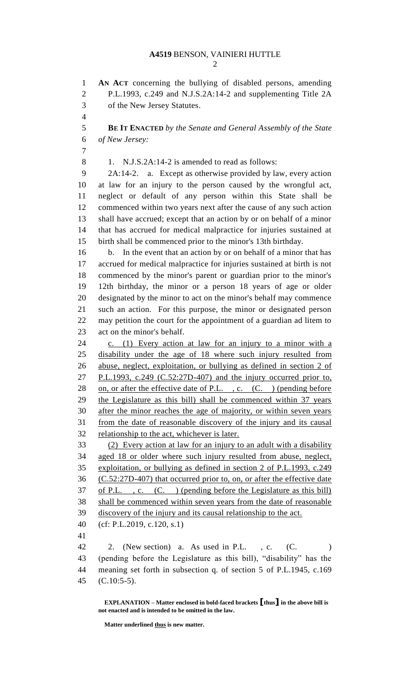**AN ACT** concerning the bullying of disabled persons, amending P.L.1993, c.249 and N.J.S.2A:14-2 and supplementing Title 2A of the New Jersey Statutes. 

 **BE IT ENACTED** *by the Senate and General Assembly of the State of New Jersey:*

8 1. N.J.S.2A:14-2 is amended to read as follows:

 2A:14-2. a. Except as otherwise provided by law, every action at law for an injury to the person caused by the wrongful act, neglect or default of any person within this State shall be commenced within two years next after the cause of any such action shall have accrued; except that an action by or on behalf of a minor that has accrued for medical malpractice for injuries sustained at birth shall be commenced prior to the minor's 13th birthday.

 b. In the event that an action by or on behalf of a minor that has accrued for medical malpractice for injuries sustained at birth is not commenced by the minor's parent or guardian prior to the minor's 12th birthday, the minor or a person 18 years of age or older designated by the minor to act on the minor's behalf may commence such an action. For this purpose, the minor or designated person may petition the court for the appointment of a guardian ad litem to act on the minor's behalf.

 c. (1) Every action at law for an injury to a minor with a disability under the age of 18 where such injury resulted from abuse, neglect, exploitation, or bullying as defined in section 2 of P.L.1993, c.249 (C.52:27D-407) and the injury occurred prior to, 28 on, or after the effective date of P.L., c.  $(C.)$  (pending before the Legislature as this bill) shall be commenced within 37 years after the minor reaches the age of majority, or within seven years from the date of reasonable discovery of the injury and its causal 32 relationship to the act, whichever is later.

 (2) Every action at law for an injury to an adult with a disability aged 18 or older where such injury resulted from abuse, neglect, exploitation, or bullying as defined in section 2 of P.L.1993, c.249 (C.52:27D-407) that occurred prior to, on, or after the effective date of P.L. , c. (C. ) (pending before the Legislature as this bill) shall be commenced within seven years from the date of reasonable discovery of the injury and its causal relationship to the act.

(cf: P.L.2019, c.120, s.1)

42 2. (New section) a. As used in P.L., c. (C. ) (pending before the Legislature as this bill), "disability" has the meaning set forth in subsection q. of section 5 of P.L.1945, c.169 (C.10:5-5).

**EXPLANATION – Matter enclosed in bold-faced brackets [thus] in the above bill is not enacted and is intended to be omitted in the law.**

**Matter underlined thus is new matter.**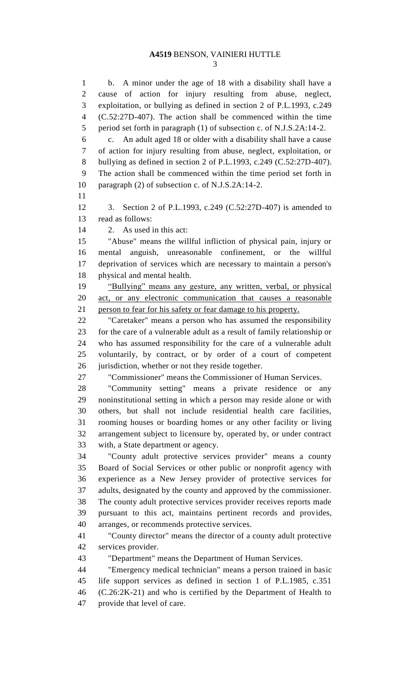### **A4519** BENSON, VAINIERI HUTTLE

 b. A minor under the age of 18 with a disability shall have a cause of action for injury resulting from abuse, neglect, exploitation, or bullying as defined in section 2 of P.L.1993, c.249 (C.52:27D-407). The action shall be commenced within the time period set forth in paragraph (1) of subsection c. of N.J.S.2A:14-2. c. An adult aged 18 or older with a disability shall have a cause of action for injury resulting from abuse, neglect, exploitation, or bullying as defined in section 2 of P.L.1993, c.249 (C.52:27D-407). The action shall be commenced within the time period set forth in paragraph (2) of subsection c. of N.J.S.2A:14-2. 3. Section 2 of P.L.1993, c.249 (C.52:27D-407) is amended to read as follows: 2. As used in this act: "Abuse" means the willful infliction of physical pain, injury or mental anguish, unreasonable confinement, or the willful deprivation of services which are necessary to maintain a person's physical and mental health. "Bullying" means any gesture, any written, verbal, or physical act, or any electronic communication that causes a reasonable person to fear for his safety or fear damage to his property. "Caretaker" means a person who has assumed the responsibility for the care of a vulnerable adult as a result of family relationship or who has assumed responsibility for the care of a vulnerable adult voluntarily, by contract, or by order of a court of competent jurisdiction, whether or not they reside together. "Commissioner" means the Commissioner of Human Services. "Community setting" means a private residence or any noninstitutional setting in which a person may reside alone or with others, but shall not include residential health care facilities, rooming houses or boarding homes or any other facility or living arrangement subject to licensure by, operated by, or under contract with, a State department or agency. "County adult protective services provider" means a county Board of Social Services or other public or nonprofit agency with experience as a New Jersey provider of protective services for adults, designated by the county and approved by the commissioner. The county adult protective services provider receives reports made pursuant to this act, maintains pertinent records and provides, arranges, or recommends protective services. "County director" means the director of a county adult protective services provider. "Department" means the Department of Human Services. "Emergency medical technician" means a person trained in basic life support services as defined in section 1 of P.L.1985, c.351 (C.26:2K-21) and who is certified by the Department of Health to provide that level of care.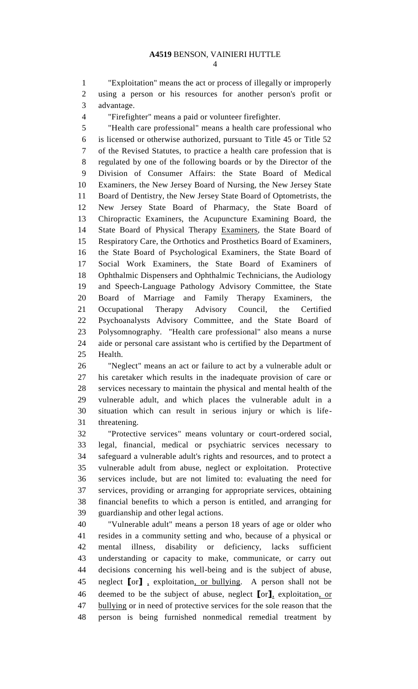"Exploitation" means the act or process of illegally or improperly using a person or his resources for another person's profit or advantage.

"Firefighter" means a paid or volunteer firefighter.

 "Health care professional" means a health care professional who is licensed or otherwise authorized, pursuant to Title 45 or Title 52 of the Revised Statutes, to practice a health care profession that is regulated by one of the following boards or by the Director of the Division of Consumer Affairs: the State Board of Medical Examiners, the New Jersey Board of Nursing, the New Jersey State Board of Dentistry, the New Jersey State Board of Optometrists, the New Jersey State Board of Pharmacy, the State Board of Chiropractic Examiners, the Acupuncture Examining Board, the 14 State Board of Physical Therapy Examiners, the State Board of Respiratory Care, the Orthotics and Prosthetics Board of Examiners, the State Board of Psychological Examiners, the State Board of Social Work Examiners, the State Board of Examiners of Ophthalmic Dispensers and Ophthalmic Technicians, the Audiology and Speech-Language Pathology Advisory Committee, the State Board of Marriage and Family Therapy Examiners, the Occupational Therapy Advisory Council, the Certified Psychoanalysts Advisory Committee, and the State Board of Polysomnography. "Health care professional" also means a nurse aide or personal care assistant who is certified by the Department of Health.

 "Neglect" means an act or failure to act by a vulnerable adult or his caretaker which results in the inadequate provision of care or services necessary to maintain the physical and mental health of the vulnerable adult, and which places the vulnerable adult in a situation which can result in serious injury or which is life-threatening.

 "Protective services" means voluntary or court-ordered social, legal, financial, medical or psychiatric services necessary to safeguard a vulnerable adult's rights and resources, and to protect a vulnerable adult from abuse, neglect or exploitation. Protective services include, but are not limited to: evaluating the need for services, providing or arranging for appropriate services, obtaining financial benefits to which a person is entitled, and arranging for guardianship and other legal actions.

 "Vulnerable adult" means a person 18 years of age or older who resides in a community setting and who, because of a physical or mental illness, disability or deficiency, lacks sufficient understanding or capacity to make, communicate, or carry out decisions concerning his well-being and is the subject of abuse, neglect **[**or**]** , exploitation, or bullying. A person shall not be deemed to be the subject of abuse, neglect **[**or**]**, exploitation, or bullying or in need of protective services for the sole reason that the person is being furnished nonmedical remedial treatment by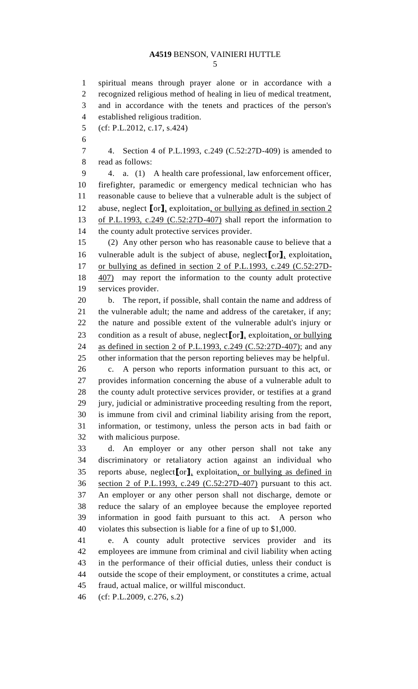### **A4519** BENSON, VAINIERI HUTTLE

 spiritual means through prayer alone or in accordance with a recognized religious method of healing in lieu of medical treatment, and in accordance with the tenets and practices of the person's established religious tradition. (cf: P.L.2012, c.17, s.424) 4. Section 4 of P.L.1993, c.249 (C.52:27D-409) is amended to read as follows: 4. a. (1) A health care professional, law enforcement officer, firefighter, paramedic or emergency medical technician who has reasonable cause to believe that a vulnerable adult is the subject of abuse, neglect **[**or**]**, exploitation, or bullying as defined in section 2 of P.L.1993, c.249 (C.52:27D-407) shall report the information to the county adult protective services provider. (2) Any other person who has reasonable cause to believe that a vulnerable adult is the subject of abuse, neglect**[**or**]**, exploitation, or bullying as defined in section 2 of P.L.1993, c.249 (C.52:27D- 407) may report the information to the county adult protective services provider. b. The report, if possible, shall contain the name and address of the vulnerable adult; the name and address of the caretaker, if any; the nature and possible extent of the vulnerable adult's injury or condition as a result of abuse, neglect**[**or**]**, exploitation, or bullying as defined in section 2 of P.L.1993, c.249 (C.52:27D-407); and any other information that the person reporting believes may be helpful. c. A person who reports information pursuant to this act, or provides information concerning the abuse of a vulnerable adult to the county adult protective services provider, or testifies at a grand jury, judicial or administrative proceeding resulting from the report, is immune from civil and criminal liability arising from the report, information, or testimony, unless the person acts in bad faith or with malicious purpose. d. An employer or any other person shall not take any discriminatory or retaliatory action against an individual who reports abuse, neglect**[**or**]**, exploitation, or bullying as defined in section 2 of P.L.1993, c.249 (C.52:27D-407) pursuant to this act. An employer or any other person shall not discharge, demote or reduce the salary of an employee because the employee reported information in good faith pursuant to this act. A person who violates this subsection is liable for a fine of up to \$1,000. e. A county adult protective services provider and its employees are immune from criminal and civil liability when acting in the performance of their official duties, unless their conduct is outside the scope of their employment, or constitutes a crime, actual fraud, actual malice, or willful misconduct. (cf: P.L.2009, c.276, s.2)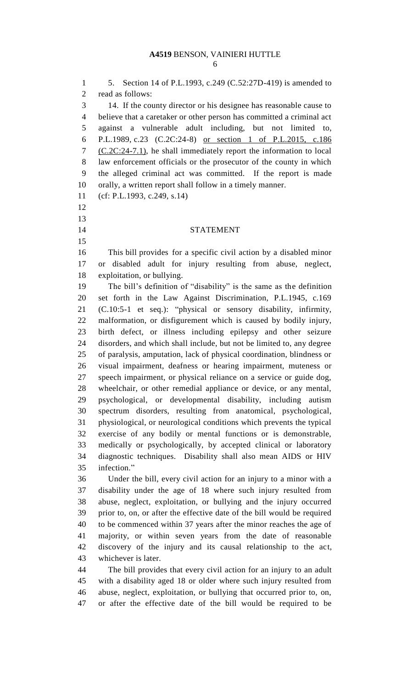5. Section 14 of P.L.1993, c.249 (C.52:27D-419) is amended to read as follows: 14. If the county director or his designee has reasonable cause to believe that a caretaker or other person has committed a criminal act against a vulnerable adult including, but not limited to, P.L.1989, c.23 (C.2C:24-8) or section 1 of P.L.2015, c.186 7 (C.2C:24-7.1), he shall immediately report the information to local law enforcement officials or the prosecutor of the county in which the alleged criminal act was committed. If the report is made orally, a written report shall follow in a timely manner. (cf: P.L.1993, c.249, s.14) STATEMENT This bill provides for a specific civil action by a disabled minor or disabled adult for injury resulting from abuse, neglect, exploitation, or bullying. The bill's definition of "disability" is the same as the definition set forth in the Law Against Discrimination, P.L.1945, c.169 (C.10:5-1 et seq.): "physical or sensory disability, infirmity, malformation, or disfigurement which is caused by bodily injury, birth defect, or illness including epilepsy and other seizure disorders, and which shall include, but not be limited to, any degree of paralysis, amputation, lack of physical coordination, blindness or visual impairment, deafness or hearing impairment, muteness or speech impairment, or physical reliance on a service or guide dog, wheelchair, or other remedial appliance or device, or any mental, psychological, or developmental disability, including autism spectrum disorders, resulting from anatomical, psychological, physiological, or neurological conditions which prevents the typical exercise of any bodily or mental functions or is demonstrable, medically or psychologically, by accepted clinical or laboratory diagnostic techniques. Disability shall also mean AIDS or HIV infection." Under the bill, every civil action for an injury to a minor with a disability under the age of 18 where such injury resulted from abuse, neglect, exploitation, or bullying and the injury occurred prior to, on, or after the effective date of the bill would be required to be commenced within 37 years after the minor reaches the age of majority, or within seven years from the date of reasonable discovery of the injury and its causal relationship to the act, whichever is later. The bill provides that every civil action for an injury to an adult with a disability aged 18 or older where such injury resulted from abuse, neglect, exploitation, or bullying that occurred prior to, on,

or after the effective date of the bill would be required to be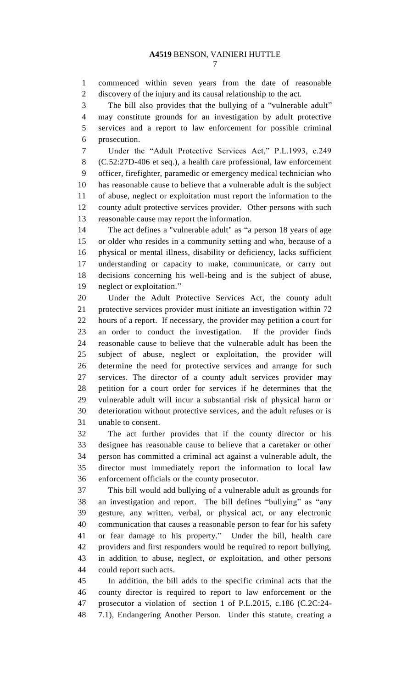commenced within seven years from the date of reasonable discovery of the injury and its causal relationship to the act.

 The bill also provides that the bullying of a "vulnerable adult" may constitute grounds for an investigation by adult protective services and a report to law enforcement for possible criminal prosecution.

 Under the "Adult Protective Services Act," P.L.1993, c.249 (C.52:27D-406 et seq.), a health care professional, law enforcement officer, firefighter, paramedic or emergency medical technician who has reasonable cause to believe that a vulnerable adult is the subject of abuse, neglect or exploitation must report the information to the county adult protective services provider. Other persons with such reasonable cause may report the information.

 The act defines a "vulnerable adult" as "a person 18 years of age or older who resides in a community setting and who, because of a physical or mental illness, disability or deficiency, lacks sufficient understanding or capacity to make, communicate, or carry out decisions concerning his well-being and is the subject of abuse, neglect or exploitation."

 Under the Adult Protective Services Act, the county adult protective services provider must initiate an investigation within 72 hours of a report. If necessary, the provider may petition a court for an order to conduct the investigation. If the provider finds reasonable cause to believe that the vulnerable adult has been the subject of abuse, neglect or exploitation, the provider will determine the need for protective services and arrange for such services. The director of a county adult services provider may petition for a court order for services if he determines that the vulnerable adult will incur a substantial risk of physical harm or deterioration without protective services, and the adult refuses or is unable to consent.

 The act further provides that if the county director or his designee has reasonable cause to believe that a caretaker or other person has committed a criminal act against a vulnerable adult, the director must immediately report the information to local law enforcement officials or the county prosecutor.

 This bill would add bullying of a vulnerable adult as grounds for an investigation and report. The bill defines "bullying" as "any gesture, any written, verbal, or physical act, or any electronic communication that causes a reasonable person to fear for his safety or fear damage to his property." Under the bill, health care providers and first responders would be required to report bullying, in addition to abuse, neglect, or exploitation, and other persons could report such acts.

 In addition, the bill adds to the specific criminal acts that the county director is required to report to law enforcement or the prosecutor a violation of section 1 of P.L.2015, c.186 (C.2C:24- 7.1), Endangering Another Person. Under this statute, creating a